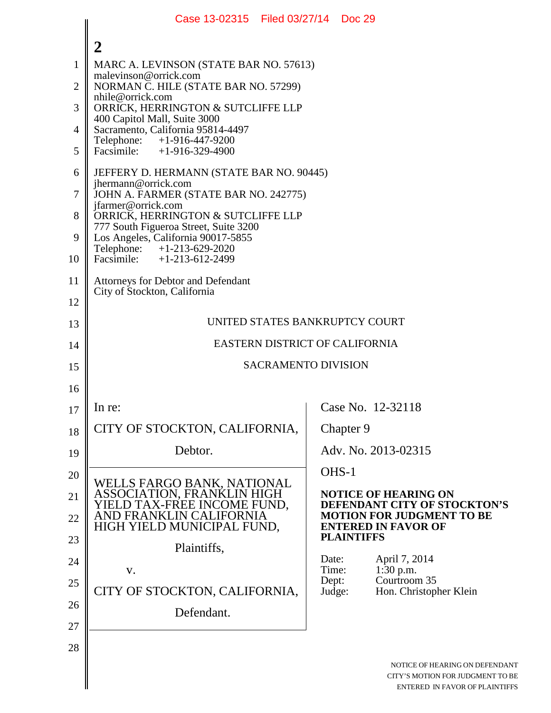|                | Case 13-02315   Filed 03/27/14   Doc 29                                                                            |                 |                                                                                                      |  |
|----------------|--------------------------------------------------------------------------------------------------------------------|-----------------|------------------------------------------------------------------------------------------------------|--|
|                | $\overline{2}$                                                                                                     |                 |                                                                                                      |  |
| $\mathbf{1}$   | MARC A. LEVINSON (STATE BAR NO. 57613)                                                                             |                 |                                                                                                      |  |
| $\overline{2}$ | malevinson@orrick.com<br>NORMAN C. HILE (STATE BAR NO. 57299)                                                      |                 |                                                                                                      |  |
| 3              | nhile@orrick.com<br>ORRICK, HERRINGTON & SUTCLIFFE LLP                                                             |                 |                                                                                                      |  |
| $\overline{4}$ | 400 Capitol Mall, Suite 3000<br>Sacramento, California 95814-4497                                                  |                 |                                                                                                      |  |
| 5              | Telephone:<br>+1-916-447-9200<br>Facsimile: +1-916-329-4900                                                        |                 |                                                                                                      |  |
| 6              | JEFFERY D. HERMANN (STATE BAR NO. 90445)                                                                           |                 |                                                                                                      |  |
| 7              | jhermann@orrick.com<br>JOHN A. FARMER (STATE BAR NO. 242775)                                                       |                 |                                                                                                      |  |
| 8              | jfarmer@orrick.com<br>ORRICK, HERRINGTON & SUTCLIFFE LLP                                                           |                 |                                                                                                      |  |
| 9              | 777 South Figueroa Street, Suite 3200<br>Los Angeles, California 90017-5855                                        |                 |                                                                                                      |  |
| 10             | Telephone: +1-213-629-2020<br>Facsimile: $+1-213-612-2499$                                                         |                 |                                                                                                      |  |
| 11             | <b>Attorneys for Debtor and Defendant</b><br>City of Stockton, California                                          |                 |                                                                                                      |  |
| 12             |                                                                                                                    |                 |                                                                                                      |  |
| 13             | UNITED STATES BANKRUPTCY COURT                                                                                     |                 |                                                                                                      |  |
| 14             | EASTERN DISTRICT OF CALIFORNIA                                                                                     |                 |                                                                                                      |  |
| 15             | <b>SACRAMENTO DIVISION</b>                                                                                         |                 |                                                                                                      |  |
| 16             |                                                                                                                    |                 |                                                                                                      |  |
| 17             | In re:                                                                                                             |                 | Case No. 12-32118                                                                                    |  |
| 18             | CITY OF STOCKTON, CALIFORNIA,                                                                                      |                 | Chapter 9                                                                                            |  |
| 19             | Debtor.                                                                                                            |                 | Adv. No. 2013-02315                                                                                  |  |
| 20             |                                                                                                                    | OHS-1           |                                                                                                      |  |
| 21             | WELLS FARGO BANK, NATIONAL<br>ASSOCIATION, FRANKLIN HIGH<br>YIELD TAX-FREE INCOME FUND,<br>AND FRANKLIN CALIFORNIA |                 | <b>NOTICE OF HEARING ON</b><br>DEFENDANT CITY OF STOCKTON'S                                          |  |
| 22             | HIGH YIELD MUNICIPAL FUND,                                                                                         |                 | <b>MOTION FOR JUDGMENT TO BE</b><br><b>ENTERED IN FAVOR OF</b>                                       |  |
| 23             | Plaintiffs,                                                                                                        |                 | <b>PLAINTIFFS</b>                                                                                    |  |
| 24             | V.                                                                                                                 | Date:<br>Time:  | April 7, 2014<br>1:30 p.m.                                                                           |  |
| 25             | CITY OF STOCKTON, CALIFORNIA,                                                                                      | Dept:<br>Judge: | Courtroom 35<br>Hon. Christopher Klein                                                               |  |
| 26             | Defendant.                                                                                                         |                 |                                                                                                      |  |
| 27             |                                                                                                                    |                 |                                                                                                      |  |
| 28             |                                                                                                                    |                 |                                                                                                      |  |
|                |                                                                                                                    |                 | NOTICE OF HEARING ON DEFENDANT<br>CITY'S MOTION FOR JUDGMENT TO BE<br>ENTERED IN FAVOR OF PLAINTIFFS |  |